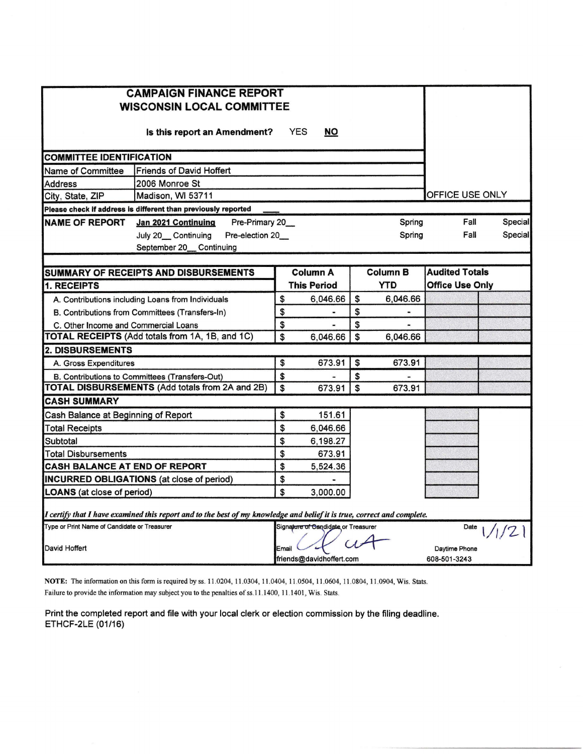| <b>CAMPAIGN FINANCE REPORT</b><br><b>WISCONSIN LOCAL COMMITTEE</b> |                                                                                                                         |       |                                       |    |          |                        |                       |         |  |  |  |
|--------------------------------------------------------------------|-------------------------------------------------------------------------------------------------------------------------|-------|---------------------------------------|----|----------|------------------------|-----------------------|---------|--|--|--|
|                                                                    | Is this report an Amendment?                                                                                            |       | <b>YES</b><br><b>NO</b>               |    |          |                        |                       |         |  |  |  |
| <b>COMMITTEE IDENTIFICATION</b>                                    |                                                                                                                         |       |                                       |    |          |                        |                       |         |  |  |  |
| Name of Committee                                                  |                                                                                                                         |       |                                       |    |          |                        |                       |         |  |  |  |
| Address                                                            |                                                                                                                         |       |                                       |    |          |                        |                       |         |  |  |  |
| OFFICE USE ONLY<br>City, State, ZIP<br>Madison, WI 53711           |                                                                                                                         |       |                                       |    |          |                        |                       |         |  |  |  |
|                                                                    | Please check if address is different than previously reported                                                           |       |                                       |    |          |                        |                       |         |  |  |  |
| <b>NAME OF REPORT</b>                                              | Pre-Primary 20<br>Jan 2021 Continuing                                                                                   |       |                                       |    | Spring   |                        | Fall                  | Special |  |  |  |
|                                                                    | July 20_Continuing<br>Pre-election 20_<br>September 20_ Continuing                                                      |       |                                       |    | Spring   |                        | Fall                  | Special |  |  |  |
|                                                                    |                                                                                                                         |       |                                       |    | Column B |                        | <b>Audited Totals</b> |         |  |  |  |
| <b>1. RECEIPTS</b>                                                 | SUMMARY OF RECEIPTS AND DISBURSEMENTS                                                                                   |       | <b>Column A</b><br><b>This Period</b> |    | YTD      | <b>Office Use Only</b> |                       |         |  |  |  |
|                                                                    | A. Contributions including Loans from Individuals                                                                       | \$    | 6,046.66                              | \$ | 6,046.66 |                        |                       |         |  |  |  |
|                                                                    | B. Contributions from Committees (Transfers-In)                                                                         | \$    |                                       | \$ |          |                        |                       |         |  |  |  |
| C. Other Income and Commercial Loans                               |                                                                                                                         | \$    |                                       | \$ |          |                        |                       |         |  |  |  |
|                                                                    | TOTAL RECEIPTS (Add totals from 1A, 1B, and 1C)                                                                         | \$    | 6.046.66                              | \$ | 6.046.66 |                        |                       |         |  |  |  |
| <b>2. DISBURSEMENTS</b>                                            |                                                                                                                         |       |                                       |    |          |                        |                       |         |  |  |  |
| A. Gross Expenditures                                              |                                                                                                                         | \$    | 673.91                                | \$ | 673.91   |                        |                       |         |  |  |  |
|                                                                    | B. Contributions to Committees (Transfers-Out)                                                                          | \$    |                                       | \$ |          |                        |                       |         |  |  |  |
|                                                                    | <b>TOTAL DISBURSEMENTS (Add totals from 2A and 2B)</b>                                                                  | \$    | 673.91                                | \$ | 673.91   |                        |                       |         |  |  |  |
| <b>CASH SUMMARY</b>                                                |                                                                                                                         |       |                                       |    |          |                        |                       |         |  |  |  |
| Cash Balance at Beginning of Report                                |                                                                                                                         | \$    | 151.61                                |    |          |                        |                       |         |  |  |  |
| <b>Total Receipts</b>                                              |                                                                                                                         | \$    | 6,046.66                              |    |          |                        |                       |         |  |  |  |
| Subtotal                                                           |                                                                                                                         | \$    | 6,198.27                              |    |          |                        |                       |         |  |  |  |
| Total Disbursements                                                |                                                                                                                         | \$    | 673.91                                |    |          |                        |                       |         |  |  |  |
| CASH BALANCE AT END OF REPORT                                      |                                                                                                                         | \$    | 5,524.36                              |    |          |                        |                       |         |  |  |  |
|                                                                    | <b>INCURRED OBLIGATIONS</b> (at close of period)                                                                        | \$    |                                       |    |          |                        |                       |         |  |  |  |
| \$<br>3,000.00<br><b>LOANS</b> (at close of period)                |                                                                                                                         |       |                                       |    |          |                        |                       |         |  |  |  |
|                                                                    | I certify that I have examined this report and to the best of my knowledge and belief it is true, correct and complete. |       |                                       |    |          |                        |                       |         |  |  |  |
| Type or Print Name of Candidate or Treasurer                       |                                                                                                                         |       | Signature of Candidate or Treasurer   |    |          |                        | Date                  | 1/2     |  |  |  |
| David Hoffert                                                      |                                                                                                                         | Email |                                       |    |          |                        | Daytime Phone         |         |  |  |  |
|                                                                    |                                                                                                                         |       | friends@davidhoffert.com              |    |          | 608-501-3243           |                       |         |  |  |  |

NOTE: The information on this form is required by ss. 11.0204, 11.0304, 11.0404, 11.0504, 11.0604, 11.0804, 11.0904, Wis. Stats. Failure to provide the information may subject you to the penalties of ss.11.1400, 11.1401, Wis. Stats.

Print the completed report and file with your local clerk or election commission by the filing deadline. ETHCF-2LE (01/16)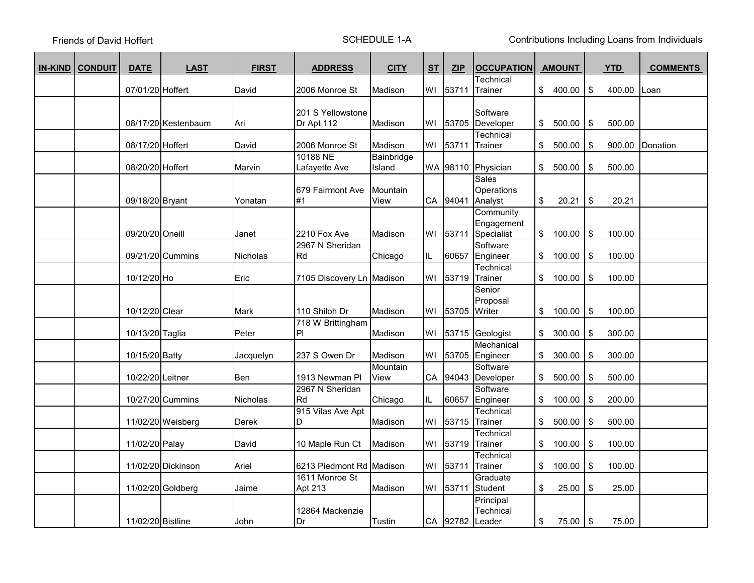Friends of David Hoffert

SCHEDULE 1-A Contributions Including Loans from Individuals

| <b>IN-KIND   CONDUIT</b> | <b>DATE</b>       | <b>LAST</b>         | <b>FIRST</b>    | <b>ADDRESS</b>                  | <b>CITY</b>          | <b>ST</b> | <b>ZIP</b> | <b>OCCUPATION</b>                         | <b>AMOUNT</b> |               | <b>YTD</b> | <b>COMMENTS</b> |
|--------------------------|-------------------|---------------------|-----------------|---------------------------------|----------------------|-----------|------------|-------------------------------------------|---------------|---------------|------------|-----------------|
|                          |                   |                     |                 |                                 |                      |           |            | Technical                                 |               |               |            |                 |
|                          | 07/01/20 Hoffert  |                     | David           | 2006 Monroe St                  | Madison              | WI        | 53711      | Trainer                                   | \$400.00      | \$            | 400.00     | Loan            |
|                          |                   | 08/17/20 Kestenbaum | Ari             | 201 S Yellowstone<br>Dr Apt 112 | Madison              | WI        | 53705      | Software<br>Developer                     | \$<br>500.00  | \$            | 500.00     |                 |
|                          | 08/17/20 Hoffert  |                     | David           | 2006 Monroe St                  | Madison              | WI        | 53711      | Technical<br>Trainer                      | \$<br>500.00  | \$            | 900.00     | Donation        |
|                          | 08/20/20 Hoffert  |                     | Marvin          | 10188 NE<br>Lafayette Ave       | Bainbridge<br>Island |           | WA 98110   | Physician                                 | \$<br>500.00  | \$            | 500.00     |                 |
|                          | 09/18/20 Bryant   |                     | Yonatan         | 679 Fairmont Ave<br>#1          | Mountain<br>View     |           | CA 94041   | Sales<br>Operations<br>Analyst            | \$<br>20.21   | \$            | 20.21      |                 |
|                          | 09/20/20 Oneill   |                     | Janet           | 2210 Fox Ave                    | Madison              | WI        | 53711      | Community<br>Engagement<br>Specialist     | \$100.00      | \$            | 100.00     |                 |
|                          |                   | 09/21/20 Cummins    | <b>Nicholas</b> | 2967 N Sheridan<br>Rd           | Chicago              | IL.       | 60657      | Software<br>Engineer                      | \$<br>100.00  | \$            | 100.00     |                 |
|                          | 10/12/20 Ho       |                     | Eric            | 7105 Discovery Ln Madison       |                      | WI        | 53719      | Technical<br>Trainer                      | \$100.00      | \$            | 100.00     |                 |
|                          | 10/12/20 Clear    |                     | Mark            | 110 Shiloh Dr                   | Madison              | WI        | 53705      | Senior<br>Proposal<br>Writer              | \$<br>100.00  | \$            | 100.00     |                 |
|                          | 10/13/20 Taglia   |                     | Peter           | 718 W Brittingham<br> P         | Madison              | WI        | 53715      | Geologist                                 | \$<br>300.00  | \$            | 300.00     |                 |
|                          | 10/15/20 Batty    |                     | Jacquelyn       | 237 S Owen Dr                   | Madison              | WI        | 53705      | Mechanical<br>Engineer                    | \$<br>300.00  | \$            | 300.00     |                 |
|                          | 10/22/20 Leitner  |                     | Ben             | 1913 Newman Pl                  | Mountain<br>View     |           | CA 94043   | Software<br>Developer                     | \$<br>500.00  | \$            | 500.00     |                 |
|                          |                   | 10/27/20 Cummins    | Nicholas        | 2967 N Sheridan<br>Rd           | Chicago              | IL.       | 60657      | Software<br>Engineer                      | \$<br>100.00  | \$            | 200.00     |                 |
|                          |                   | 11/02/20 Weisberg   | Derek           | 915 Vilas Ave Apt<br>D          | Madison              | WI        | 53715      | Technical<br>Trainer                      | \$<br>500.00  | \$            | 500.00     |                 |
|                          | 11/02/20 Palay    |                     | David           | 10 Maple Run Ct                 | Madison              | WI        | 53719      | Technical<br>Trainer                      | \$<br>100.00  | \$            | 100.00     |                 |
|                          |                   | 11/02/20 Dickinson  | Ariel           | 6213 Piedmont Rd Madison        |                      | WI        | 53711      | Technical<br>Trainer                      | \$<br>100.00  | \$            | 100.00     |                 |
|                          |                   | 11/02/20 Goldberg   | Jaime           | 1611 Monroe St<br>Apt 213       | Madison              | WI        | 53711      | Graduate<br><b>Student</b>                | \$<br>25.00   | \$            | 25.00      |                 |
|                          | 11/02/20 Bistline |                     | John            | 12864 Mackenzie<br>Dr           | Tustin               |           |            | Principal<br>Technical<br>CA 92782 Leader | \$<br>75.00 l | $\sqrt[6]{3}$ | 75.00      |                 |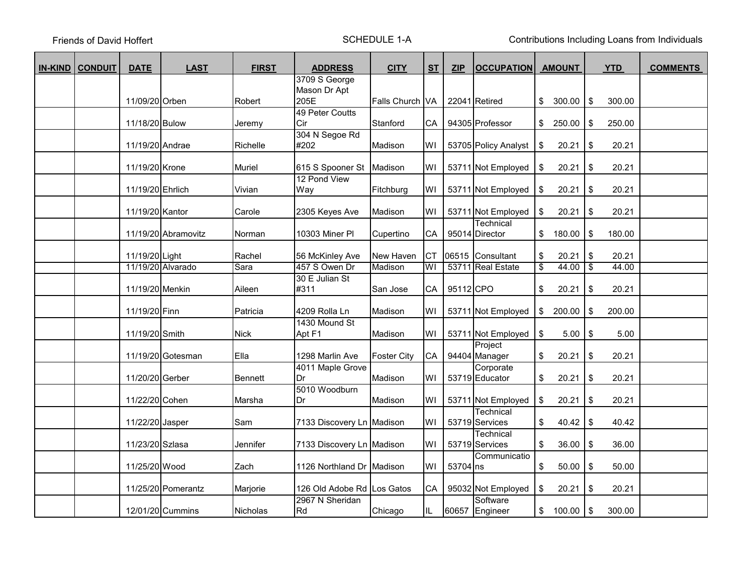Friends of David Hoffert

SCHEDULE 1-A Contributions Including Loans from Individuals

| <b>IN-KIND CONDUIT</b> | <b>DATE</b>       | <b>LAST</b>         | <b>FIRST</b>   | <b>ADDRESS</b>             | <b>CITY</b>        | <b>ST</b>  | <b>ZIP</b> | <b>OCCUPATION</b>           |                         | <b>AMOUNT</b> |                 | <b>YTD</b> | <b>COMMENTS</b> |
|------------------------|-------------------|---------------------|----------------|----------------------------|--------------------|------------|------------|-----------------------------|-------------------------|---------------|-----------------|------------|-----------------|
|                        |                   |                     |                | 3709 S George              |                    |            |            |                             |                         |               |                 |            |                 |
|                        |                   |                     |                | Mason Dr Apt               |                    |            |            |                             |                         |               |                 |            |                 |
|                        | 11/09/20 Orben    |                     | Robert         | 205E                       | Falls Church VA    |            |            | 22041 Retired               | \$                      | 300.00        | \$              | 300.00     |                 |
|                        | 11/18/20 Bulow    |                     | Jeremy         | 49 Peter Coutts<br>Cir     | Stanford           | CA I       |            | 94305 Professor             |                         | \$250.00      | \$              | 250.00     |                 |
|                        |                   |                     |                | 304 N Segoe Rd             |                    |            |            |                             |                         |               |                 |            |                 |
|                        | 11/19/20 Andrae   |                     | Richelle       | #202                       | Madison            | WI         |            | 53705 Policy Analyst        | \$                      | 20.21         | $\frac{1}{2}$   | 20.21      |                 |
|                        | 11/19/20 Krone    |                     | Muriel         | 615 S Spooner St Madison   |                    | WI         |            | 53711 Not Employed          | \$                      | 20.21         | \$              | 20.21      |                 |
|                        | 11/19/20 Ehrlich  |                     | Vivian         | 12 Pond View<br>Way        | Fitchburg          | WI         |            | 53711 Not Employed          | \$                      | 20.21         | \$              | 20.21      |                 |
|                        | 11/19/20 Kantor   |                     | Carole         | 2305 Keyes Ave             | Madison            | WI         |            | 53711 Not Employed          | \$                      | 20.21         | \$              | 20.21      |                 |
|                        |                   | 11/19/20 Abramovitz | Norman         | 10303 Miner PI             | Cupertino          | CA         |            | Technical<br>95014 Director | \$                      | 180.00        | $\frac{1}{2}$   | 180.00     |                 |
|                        | 11/19/20 Light    |                     | Rachel         | 56 McKinley Ave            | New Haven          | <b>CT</b>  |            | 06515 Consultant            | \$                      | 20.21         | $\frac{1}{2}$   | 20.21      |                 |
|                        | 11/19/20 Alvarado |                     | Sara           | 457 S Owen Dr              | Madison            | WI         |            | 53711 Real Estate           | s)                      | 44.00         | $\overline{\$}$ | 44.00      |                 |
|                        | 11/19/20 Menkin   |                     | Aileen         | 30 E Julian St<br>#311     | San Jose           | CA         | 95112 CPO  |                             | \$                      | 20.21         | $\frac{1}{2}$   | 20.21      |                 |
|                        | 11/19/20 Finn     |                     | Patricia       | 4209 Rolla Ln              | Madison            | WI         |            | 53711 Not Employed          | $\sqrt[6]{\frac{1}{2}}$ | 200.00        | \$              | 200.00     |                 |
|                        | 11/19/20 Smith    |                     | <b>Nick</b>    | 1430 Mound St<br>Apt F1    | Madison            | WI         |            | 53711 Not Employed          | \$                      | 5.00          | $\frac{1}{2}$   | 5.00       |                 |
|                        |                   | 11/19/20 Gotesman   | Ella           | 1298 Marlin Ave            | <b>Foster City</b> | ${\sf CA}$ |            | Project<br>94404 Manager    | \$                      | 20.21         | \$              | 20.21      |                 |
|                        | 11/20/20 Gerber   |                     | <b>Bennett</b> | 4011 Maple Grove<br>Dr     | Madison            | WI         |            | Corporate<br>53719 Educator | \$                      | 20.21         | $\frac{1}{2}$   | 20.21      |                 |
|                        | 11/22/20 Cohen    |                     | Marsha         | 5010 Woodburn<br>Dr        | Madison            | WI         |            | 53711 Not Employed          | \$                      | 20.21         | \$              | 20.21      |                 |
|                        | 11/22/20 Jasper   |                     | Sam            | 7133 Discovery Ln Madison  |                    | WI         |            | Technical<br>53719 Services | \$                      | 40.42         | \$              | 40.42      |                 |
|                        | 11/23/20 Szlasa   |                     | Jennifer       | 7133 Discovery Ln Madison  |                    | WI         |            | Technical<br>53719 Services | \$                      | 36.00         | $\frac{1}{2}$   | 36.00      |                 |
|                        | 11/25/20 Wood     |                     | Zach           | 1126 Northland Dr Madison  |                    | WI         | 53704 ns   | Communicatio                | \$                      | 50.00         | $\frac{1}{2}$   | 50.00      |                 |
|                        |                   | 11/25/20 Pomerantz  | Marjorie       | 126 Old Adobe Rd Los Gatos |                    | CA         |            | 95032 Not Employed          | \$                      | 20.21         | \$              | 20.21      |                 |
|                        |                   | 12/01/20 Cummins    | Nicholas       | 2967 N Sheridan<br>Rd      | Chicago            | IL.        |            | Software<br>60657 Engineer  | $\sqrt[6]{\frac{1}{2}}$ | 100.00        | \$              | 300.00     |                 |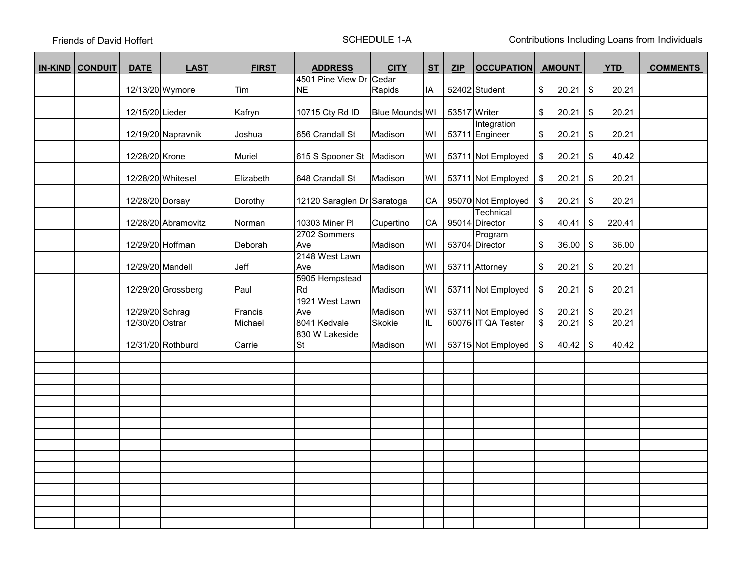Friends of David Hoffert

SCHEDULE 1-A Contributions Including Loans from Individuals

| <b>IN-KIND CONDUIT</b> | <b>DATE</b>       | <b>LAST</b>         | <b>FIRST</b> | <b>ADDRESS</b>             | <b>CITY</b>    | <b>ST</b>  | <b>ZIP</b>   | <b>OCCUPATION</b>  |                          | <b>AMOUNT</b> |                           | <b>YTD</b> | <b>COMMENTS</b> |
|------------------------|-------------------|---------------------|--------------|----------------------------|----------------|------------|--------------|--------------------|--------------------------|---------------|---------------------------|------------|-----------------|
|                        |                   |                     |              | 4501 Pine View Dr Cedar    |                |            |              |                    |                          |               |                           |            |                 |
|                        | 12/13/20 Wymore   |                     | Tim          | <b>NE</b>                  | Rapids         | IA.        |              | 52402 Student      | \$                       | 20.21         | \$                        | 20.21      |                 |
|                        |                   |                     |              |                            |                |            |              |                    |                          |               |                           |            |                 |
|                        | 12/15/20 Lieder   |                     | Kafryn       | 10715 Cty Rd ID            | Blue Mounds WI |            | 53517 Writer |                    | \$                       | 20.21         | \$                        | 20.21      |                 |
|                        |                   |                     |              |                            |                |            |              | Integration        |                          |               |                           |            |                 |
|                        |                   | 12/19/20 Napravnik  | Joshua       | 656 Crandall St            | Madison        | WI         |              | 53711 Engineer     | \$                       | 20.21         | \$                        | 20.21      |                 |
|                        |                   |                     |              |                            |                |            |              |                    |                          |               |                           |            |                 |
|                        | 12/28/20 Krone    |                     | Muriel       | 615 S Spooner St   Madison |                | WI         |              | 53711 Not Employed | \$                       | 20.21         | \$                        | 40.42      |                 |
|                        |                   |                     |              |                            |                |            |              |                    |                          |               |                           |            |                 |
|                        | 12/28/20 Whitesel |                     | Elizabeth    | 648 Crandall St            | Madison        | WI         |              | 53711 Not Employed | \$                       | 20.21         | \$                        | 20.21      |                 |
|                        |                   |                     |              |                            |                |            |              |                    |                          |               |                           |            |                 |
|                        | 12/28/20 Dorsay   |                     | Dorothy      | 12120 Saraglen Dr Saratoga |                | ${\sf CA}$ |              | 95070 Not Employed | \$                       | 20.21         | \$                        | 20.21      |                 |
|                        |                   |                     |              |                            |                |            |              | Technical          |                          |               |                           |            |                 |
|                        |                   | 12/28/20 Abramovitz | Norman       | 10303 Miner PI             | Cupertino      | ${\sf CA}$ |              | 95014 Director     | \$                       | 40.41         | \$                        | 220.41     |                 |
|                        |                   |                     |              | 2702 Sommers               |                |            |              | Program            |                          |               |                           |            |                 |
|                        | 12/29/20 Hoffman  |                     | Deborah      | Ave                        | Madison        | WI         |              | 53704 Director     | \$                       | 36.00         | \$                        | 36.00      |                 |
|                        |                   |                     |              | 2148 West Lawn             | Madison        | WI         |              |                    |                          |               |                           |            |                 |
|                        | 12/29/20 Mandell  |                     | Jeff         | Ave                        |                |            |              | 53711 Attorney     | \$                       | 20.21         | \$                        | 20.21      |                 |
|                        |                   |                     |              | 5905 Hempstead<br>Rd       |                |            |              |                    |                          |               |                           |            |                 |
|                        |                   | 12/29/20 Grossberg  | Paul         | 1921 West Lawn             | Madison        | WI         |              | 53711 Not Employed | \$                       | 20.21         | $\boldsymbol{\mathsf{S}}$ | 20.21      |                 |
|                        | 12/29/20 Schrag   |                     | Francis      | Ave                        | Madison        | WI         |              | 53711 Not Employed | \$                       | 20.21         | \$                        | 20.21      |                 |
|                        | 12/30/20 Ostrar   |                     | Michael      | 8041 Kedvale               | Skokie         | IL.        |              | 60076 IT QA Tester | $\overline{\mathcal{S}}$ | 20.21         | $\overline{\mathbf{3}}$   | 20.21      |                 |
|                        |                   |                     |              | 830 W Lakeside             |                |            |              |                    |                          |               |                           |            |                 |
|                        |                   | 12/31/20 Rothburd   | Carrie       | <b>St</b>                  | Madison        | WI         |              | 53715 Not Employed | \$                       | 40.42         | \$                        | 40.42      |                 |
|                        |                   |                     |              |                            |                |            |              |                    |                          |               |                           |            |                 |
|                        |                   |                     |              |                            |                |            |              |                    |                          |               |                           |            |                 |
|                        |                   |                     |              |                            |                |            |              |                    |                          |               |                           |            |                 |
|                        |                   |                     |              |                            |                |            |              |                    |                          |               |                           |            |                 |
|                        |                   |                     |              |                            |                |            |              |                    |                          |               |                           |            |                 |
|                        |                   |                     |              |                            |                |            |              |                    |                          |               |                           |            |                 |
|                        |                   |                     |              |                            |                |            |              |                    |                          |               |                           |            |                 |
|                        |                   |                     |              |                            |                |            |              |                    |                          |               |                           |            |                 |
|                        |                   |                     |              |                            |                |            |              |                    |                          |               |                           |            |                 |
|                        |                   |                     |              |                            |                |            |              |                    |                          |               |                           |            |                 |
|                        |                   |                     |              |                            |                |            |              |                    |                          |               |                           |            |                 |
|                        |                   |                     |              |                            |                |            |              |                    |                          |               |                           |            |                 |
|                        |                   |                     |              |                            |                |            |              |                    |                          |               |                           |            |                 |
|                        |                   |                     |              |                            |                |            |              |                    |                          |               |                           |            |                 |
|                        |                   |                     |              |                            |                |            |              |                    |                          |               |                           |            |                 |
|                        |                   |                     |              |                            |                |            |              |                    |                          |               |                           |            |                 |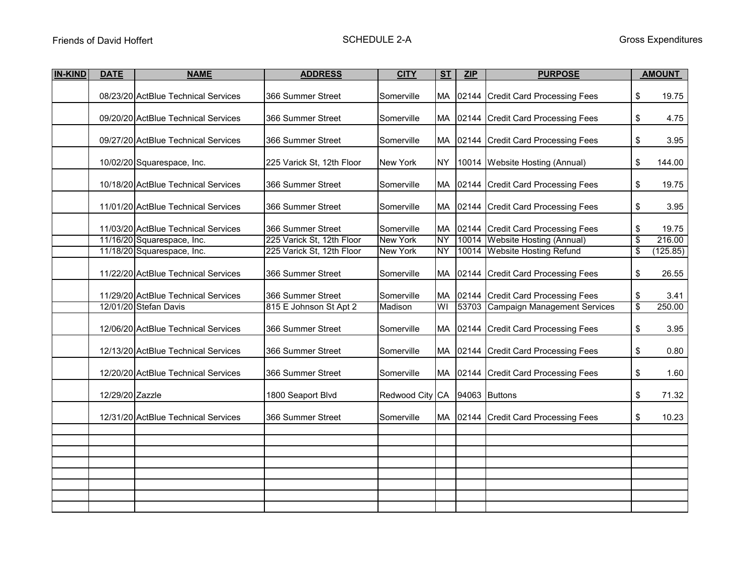| <b>IN-KIND</b> | <b>DATE</b>     | <b>NAME</b>                         | <b>ADDRESS</b>            | <b>CITY</b>                   | ST<br>ZIP |  | <b>PURPOSE</b>                       |    | <b>AMOUNT</b> |
|----------------|-----------------|-------------------------------------|---------------------------|-------------------------------|-----------|--|--------------------------------------|----|---------------|
|                |                 | 08/23/20 ActBlue Technical Services | 366 Summer Street         | Somerville                    |           |  | MA 02144 Credit Card Processing Fees | \$ | 19.75         |
|                |                 | 09/20/20 ActBlue Technical Services | 366 Summer Street         | Somerville                    |           |  | MA 02144 Credit Card Processing Fees | \$ | 4.75          |
|                |                 |                                     |                           |                               |           |  |                                      |    |               |
|                |                 | 09/27/20 ActBlue Technical Services | 366 Summer Street         | Somerville                    |           |  | MA 02144 Credit Card Processing Fees | \$ | 3.95          |
|                |                 | 10/02/20 Squarespace, Inc.          | 225 Varick St, 12th Floor | <b>New York</b>               | <b>NY</b> |  | 10014 Website Hosting (Annual)       | \$ | 144.00        |
|                |                 | 10/18/20 ActBlue Technical Services | 366 Summer Street         | Somerville                    |           |  | MA 02144 Credit Card Processing Fees | \$ | 19.75         |
|                |                 | 11/01/20 ActBlue Technical Services | 366 Summer Street         | Somerville                    |           |  | MA 02144 Credit Card Processing Fees |    | 3.95          |
|                |                 | 11/03/20 ActBlue Technical Services | 366 Summer Street         | Somerville                    |           |  | MA 02144 Credit Card Processing Fees | \$ | 19.75         |
|                |                 | 11/16/20 Squarespace, Inc.          | 225 Varick St, 12th Floor | <b>New York</b>               | ΝY        |  | 10014 Website Hosting (Annual)       | \$ | 216.00        |
|                |                 | 11/18/20 Squarespace, Inc.          | 225 Varick St, 12th Floor | <b>New York</b>               | NY        |  | 10014 Website Hosting Refund         | \$ | (125.85)      |
|                |                 | 11/22/20 ActBlue Technical Services | 366 Summer Street         | Somerville                    | МA        |  | 02144 Credit Card Processing Fees    | \$ | 26.55         |
|                |                 | 11/29/20 ActBlue Technical Services | 366 Summer Street         | Somerville                    | MA        |  | 02144 Credit Card Processing Fees    | \$ | 3.41          |
|                |                 | 12/01/20 Stefan Davis               | 815 E Johnson St Apt 2    | Madison                       | WI        |  | 53703 Campaign Management Services   | \$ | 250.00        |
|                |                 | 12/06/20 ActBlue Technical Services | 366 Summer Street         | Somerville                    |           |  | MA 02144 Credit Card Processing Fees | \$ | 3.95          |
|                |                 | 12/13/20 ActBlue Technical Services | 366 Summer Street         | Somerville                    |           |  | MA 02144 Credit Card Processing Fees | \$ | 0.80          |
|                |                 | 12/20/20 ActBlue Technical Services | 366 Summer Street         | Somerville                    |           |  | MA 02144 Credit Card Processing Fees | \$ | 1.60          |
|                | 12/29/20 Zazzle |                                     | 1800 Seaport Blvd         | Redwood City CA 94063 Buttons |           |  |                                      | \$ | 71.32         |
|                |                 | 12/31/20 ActBlue Technical Services | 366 Summer Street         | Somerville                    |           |  | MA 02144 Credit Card Processing Fees | \$ | 10.23         |
|                |                 |                                     |                           |                               |           |  |                                      |    |               |
|                |                 |                                     |                           |                               |           |  |                                      |    |               |
|                |                 |                                     |                           |                               |           |  |                                      |    |               |
|                |                 |                                     |                           |                               |           |  |                                      |    |               |
|                |                 |                                     |                           |                               |           |  |                                      |    |               |
|                |                 |                                     |                           |                               |           |  |                                      |    |               |
|                |                 |                                     |                           |                               |           |  |                                      |    |               |